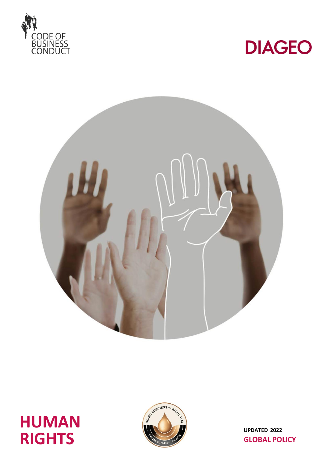









**UPDATED 2022 GLOBAL POLICY**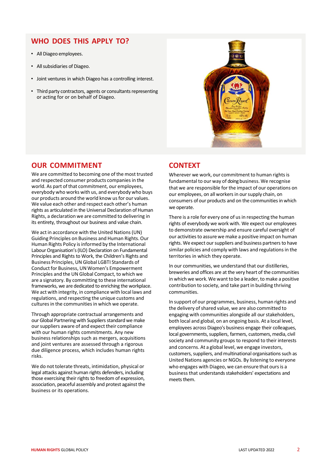## **WHO DOES THIS APPLY TO?**

- All Diageo employees.
- All subsidiaries of Diageo.
- Joint ventures in which Diageo has a controlling interest.
- Third party contractors, agents or consultants representing or acting for or on behalf of Diageo.



### **OUR COMMITMENT**

We are committed to becoming one of the most trusted and respected consumer products companies in the world. As part of that commitment, our employees, everybody who works with us, and everybody who buys our products around the world know us for our values. We value each other and respect each other's human rights as articulated in the Universal Declaration of Human Rights, a declaration we are committed to delivering in its entirety, throughout our business and value chain.

We act in accordance with the United Nations (UN) Guiding Principles on Business and Human Rights.Our Human Rights Policy is informed by the International Labour Organisation's (ILO) Declaration on Fundamental Principles and Rights to Work, the Children's Rights and Business Principles, UN Global LGBTI Standards of Conduct for Business, UN Women's Empowerment Principles and the UN Global Compact, to which we are a signatory. By committing to these international frameworks, we are dedicated to enriching the workplace. We act with integrity, in compliance with local laws and regulations, and respecting the unique customs and cultures in the communities in which we operate.

Through appropriate contractual arrangements and our Global Partnering with Suppliers standard we make our suppliers aware of and expect their compliance with our human rights commitments. Any new business relationships such as mergers, acquisitions and joint ventures are assessed through a rigorous due diligence process, which includes human rights risks.

We do not tolerate threats, intimidation, physical or legal attacks against human rights defenders, including those exercising their rights to freedom of expression, association, peaceful assembly and protest against the business or its operations.

### **CONTEXT**

Wherever we work, our commitment to human rights is fundamental to our way of doing business. We recognise that we are responsible for the impact of our operations on our employees, on all workersin oursupply chain, on consumers of our products and on the communities in which we operate.

There is a role for every one of us in respecting the human rights of everybody we work with. We expect our employees to demonstrate ownership and ensure careful oversight of our activities to assure we make a positive impact on human rights. We expect our suppliers and business partners to have similar policies and comply with laws and regulations in the territories in which they operate.

In our communities, we understand that our distilleries, breweries and offices are at the very heart of the communities in which we work. We want to be a leader, to make a positive contribution to society, and take part in building thriving communities.

In support of our programmes, business, human rights and the delivery of shared value, we are also committed to engaging with communities alongside all our stakeholders, both local and global, on an ongoing basis. At a local level, employees across Diageo's business engage their colleagues, local governments, suppliers, farmers, customers, media, civil society and community groups to respond to their interests and concerns. At a global level, we engage investors, customers, suppliers, and multinational organisations such as United Nations agencies or NGOs. By listening to everyone who engages with Diageo, we can ensure that ours is a businessthat understands stakeholders' expectations and meets them.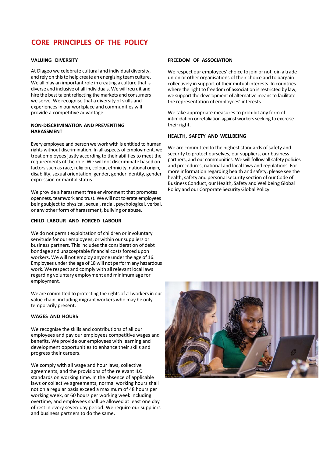# **CORE PRINCIPLES OF THE POLICY**

#### **VALUING DIVERSITY**

At Diageo we celebrate cultural and individual diversity, and rely on this to help create an energizing team culture. We all play an important role in creating a culture that is diverse and inclusive of all individuals. We will recruit and hire the best talent reflecting the markets and consumers we serve. We recognise that a diversity of skills and experiencesin our workplace and communities will provide a competitive advantage.

#### **NON-DISCRIMINATION AND PREVENTING HARASSMENT**

Every employee and person we work with is entitled to human rights without discrimination. In all aspects of employment, we treat employees justly according to their abilities to meet the requirements of the role. We will not discriminate based on factors such as race, religion, colour, ethnicity, national origin, disability, sexual orientation, gender, gender identity, gender expression or marital status.

We provide a harassment free environment that promotes openness, teamwork and trust. We will not tolerate employees being subject to physical, sexual, racial, psychological, verbal, or any other form of harassment, bullying or abuse.

#### **CHILD LABOUR AND FORCED LABOUR**

We do not permit exploitation of children or involuntary servitude for our employees, or within our suppliers or business partners. This includes the consideration of debt bondage and unacceptable financial costs forced upon workers. We will not employ anyone under the age of 16. Employees under the age of 18 will not performany hazardous work. We respect and comply with all relevant local laws regarding voluntary employment and minimum age for employment.

We are committed to protecting the rights of all workers in our value chain, including migrant workers who may be only temporarily present.

#### **WAGES AND HOURS**

We recognise the skills and contributions of all our employees and pay our employees competitive wages and benefits. We provide our employees with learning and development opportunities to enhance their skills and progress their careers.

We comply with all wage and hour laws, collective agreements, and the provisions of the relevant ILO standards on working time. In the absence of applicable laws or collective agreements, normal working hours shall not on a regular basis exceed a maximum of 48 hours per working week, or 60 hours per working week including overtime, and employees shall be allowed at least one day of rest in every seven-day period. We require our suppliers and business partners to do the same.

#### **FREEDOM OF ASSOCIATION**

We respect our employees' choice to join or not join a trade union or other organisations of their choice and to bargain collectively in support of their mutual interests. In countries where the right to freedom of association is restricted by law, we support the development of alternative means to facilitate the representation of employees' interests.

We take appropriate measures to prohibit any form of intimidation or retaliation against workers seeking to exercise their right.

#### **HEALTH, SAFETY AND WELLBEING**

We are committed to the highest standards of safety and security to protect ourselves, our suppliers, our business partners, and our communities. We will follow all safety policies and procedures, national and local laws and regulations. For more information regarding health and safety, please see the health, safety and personal security section of our Code of Business Conduct, our Health, Safety and Wellbeing Global Policy and our Corporate Security Global Policy.

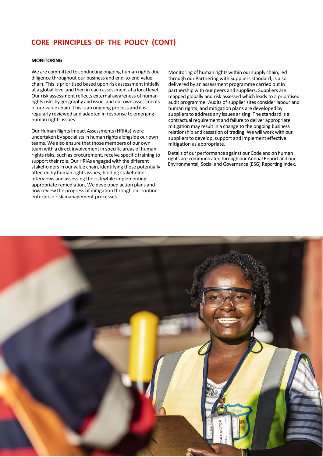## **CORE PRINCIPLES OF THE POLICY (CONT)**

#### **MONITORING**

We are committed to conducting ongoing human rights due diligence throughout our business and end-to-end value chain. This is prioritised based upon risk assessment initially at a global level and then in each assessment at a local level. Our risk assessment reflects external awareness of human rights risks by geography and issue, and our own assessments of our value chain. This is an ongoing process and it is regularly reviewed and adapted in response to emerging human rights issues.

Our Human Rights Impact Assessments (HRIAs) were undertaken by specialists in human rights alongside our own teams. We also ensure that those members of our own team with a direct involvement in specific areas of human rights risks, such as procurement, receive specific training to support their role. Our HRIAs engaged with the different stakeholders in our value chain, identifying those potentially affected by human rights issues, holding stakeholder interviews and assessing the risk while implementing appropriate remediation. We developed action plans and now review the progress of mitigation through our routine enterprise risk management processes.

Monitoring of human rights within oursupply chain, led through our Partnering with Suppliers standard, is also delivered by an assessment programme carried out in partnership with our peers and suppliers. Suppliers are mapped globally and risk assessed which leads to a prioritised audit programme. Audits of supplier sites consider labour and human rights, and mitigation plans are developed by suppliers to address any issues arising. The standard is a contractual requirement and failure to deliver appropriate mitigation may result in a change to the ongoing business relationship and cessation of trading. We will work with our suppliers to develop, support and implement effective mitigation as appropriate.

Details of our performance against our Code andonhuman rights are communicated through our Annual Report and our Environmental, Social and Governance (ESG) Reporting Index.

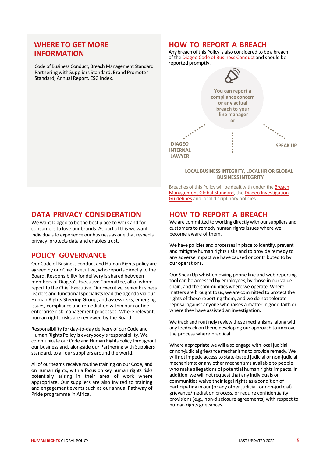### **WHERE TO GET MORE INFORMATION**

Code of Business Conduct, Breach Management Standard, Partnering with Suppliers Standard, Brand Promoter Standard, Annual Report, ESG Index.

### **HOW TO REPORT A BREACH**

Any breach of this Policy is also considered to be a breach of the Diageo Code of Business Conduct and should be reported promptly.



#### **LOCAL BUSINESS INTEGRITY, LOCAL HR OR GLOBAL BUSINESS INTEGRITY**

Breaches of this Policy will be dealt with under the Breach Management Global Standard, the Diageo Investigation Guidelines and local disciplinary policies.

## **HOW TO REPORT A BREACH**

We are committed to working directly with our suppliers and customers to remedy human rights issues where we become aware of them.

We have policies and processes in place to identify, prevent and mitigate human rights risks and to provide remedy to any adverse impact we have caused or contributed to by our operations.

Our SpeakUp whistleblowing phone line and web reporting tool can be accessed by employees, by those in our value chain, and the communities where we operate. Where matters are brought to us, we are committed to protect the rights of those reporting them, and we do not tolerate reprisal against anyone who raises a matter in good faith or where they have assisted an investigation.

We track and routinely review these mechanisms, along with any feedback on them, developing our approach to improve the process where practical.

Where appropriate we will also engage with local judicial or non-judicial grievance mechanisms to provide remedy. We will not impede access to state-based judicial or non-judicial mechanisms; or any other mechanisms available to people who make allegations of potential human rights impacts. In addition, we will not request that any individuals or communities waive their legal rights as a condition of participating in our (or any other judicial, or non-judicial) grievance/mediation process, or require confidentiality provisions (e.g., non-disclosure agreements) with respect to human rights grievances.

## **DATA PRIVACY CONSIDERATION**

We want Diageo to be the best place to work and for consumersto love our brands. As part of this we want individuals to experience our business as one that respects privacy, protects data and enables trust.

## **POLICY GOVERNANCE**

Our Code of Business conduct and Human Rights policy are agreed by our Chief Executive, who reports directly to the Board. Responsibility for delivery is shared between members of Diageo's Executive Committee, all of whom report to the Chief Executive. Our Executive, senior business leaders and functional specialists lead the agenda via our Human Rights Steering Group, and assess risks, emerging issues, compliance and remediation within our routine enterprise risk management processes. Where relevant, human rights risks are reviewed by the Board.

Responsibility for day-to-day delivery of our Code and Human Rights Policy is everybody's responsibility. We communicate our Code and Human Rights policy throughout our business and, alongside our Partnering with Suppliers standard, to all our suppliers around the world.

All of our teams receive routine training on our Code, and on human rights, with a focus on key human rights risks potentially arising in their area of work where appropriate. Our suppliers are also invited to training and engagement events such as our annual Pathway of Pride programme in Africa.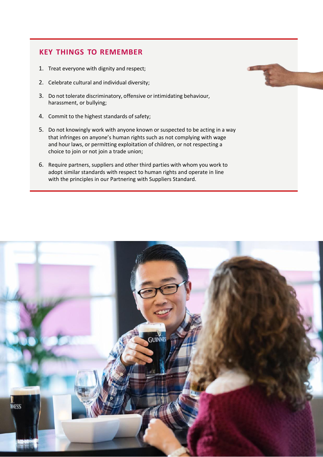## **KEY THINGS TO REMEMBER**

- 1. Treat everyone with dignity and respect;
- 2. Celebrate cultural and individual diversity;
- 3. Do not tolerate discriminatory, offensive or intimidating behaviour, harassment, or bullying;
- 4. Commit to the highest standards of safety;
- 5. Do not knowingly work with anyone known or suspected to be acting in a way that infringes on anyone's human rights such as not complying with wage and hour laws, or permitting exploitation of children, or not respecting a choice to join or not join a trade union;
- 6. Require partners, suppliers and other third parties with whom you work to adopt similar standards with respect to human rights and operate in line with the principles in our Partnering with Suppliers Standard.